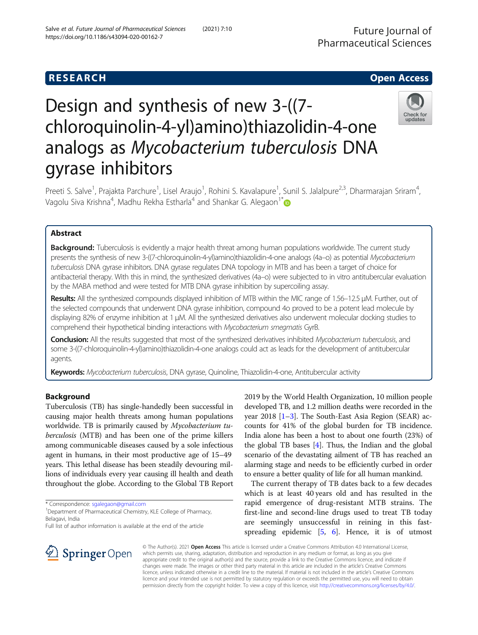# R E S EAR CH Open Access

# Design and synthesis of new 3-((7 chloroquinolin-4-yl)amino)thiazolidin-4-one analogs as Mycobacterium tuberculosis DNA gyrase inhibitors



Preeti S. Salve<sup>1</sup>, Prajakta Parchure<sup>1</sup>, Lisel Araujo<sup>1</sup>, Rohini S. Kavalapure<sup>1</sup>, Sunil S. Jalalpure<sup>2,3</sup>, Dharmarajan Sriram<sup>4</sup> , Vagolu Siva Krishna $^4$ , Madhu Rekha Estharla $^4$  and Shankar G. Alegaon $^{\text{1}}$ 

# Abstract

**Background:** Tuberculosis is evidently a major health threat among human populations worldwide. The current study presents the synthesis of new 3-((7-chloroquinolin-4-yl)amino)thiazolidin-4-one analogs (4a–o) as potential Mycobacterium tuberculosis DNA gyrase inhibitors. DNA gyrase regulates DNA topology in MTB and has been a target of choice for antibacterial therapy. With this in mind, the synthesized derivatives (4a–o) were subjected to in vitro antitubercular evaluation by the MABA method and were tested for MTB DNA gyrase inhibition by supercoiling assay.

Results: All the synthesized compounds displayed inhibition of MTB within the MIC range of 1.56–12.5 μM. Further, out of the selected compounds that underwent DNA gyrase inhibition, compound 4o proved to be a potent lead molecule by displaying 82% of enzyme inhibition at 1 μM. All the synthesized derivatives also underwent molecular docking studies to comprehend their hypothetical binding interactions with Mycobacterium smegmatis GyrB.

Conclusion: All the results suggested that most of the synthesized derivatives inhibited Mycobacterium tuberculosis, and some 3-((7-chloroquinolin-4-yl)amino)thiazolidin-4-one analogs could act as leads for the development of antitubercular agents.

Keywords: Mycobacterium tuberculosis, DNA gyrase, Quinoline, Thiazolidin-4-one, Antitubercular activity

# Background

Tuberculosis (TB) has single-handedly been successful in causing major health threats among human populations worldwide. TB is primarily caused by Mycobacterium tuberculosis (MTB) and has been one of the prime killers among communicable diseases caused by a sole infectious agent in humans, in their most productive age of 15–49 years. This lethal disease has been steadily devouring millions of individuals every year causing ill health and death throughout the globe. According to the Global TB Report

\* Correspondence: [sgalegaon@gmail.com](mailto:sgalegaon@gmail.com) <sup>1</sup>

<sup>1</sup>Department of Pharmaceutical Chemistry, KLE College of Pharmacy, Belagavi, India

2019 by the World Health Organization, 10 million people developed TB, and 1.2 million deaths were recorded in the year 20[1](#page-8-0)8  $[1-3]$  $[1-3]$  $[1-3]$ . The South-East Asia Region (SEAR) accounts for 41% of the global burden for TB incidence. India alone has been a host to about one fourth (23%) of the global TB bases [\[4\]](#page-8-0). Thus, the Indian and the global scenario of the devastating ailment of TB has reached an alarming stage and needs to be efficiently curbed in order to ensure a better quality of life for all human mankind.

The current therapy of TB dates back to a few decades which is at least 40 years old and has resulted in the rapid emergence of drug-resistant MTB strains. The first-line and second-line drugs used to treat TB today are seemingly unsuccessful in reining in this fastspreading epidemic [\[5](#page-8-0), [6\]](#page-8-0). Hence, it is of utmost



© The Author(s). 2021 Open Access This article is licensed under a Creative Commons Attribution 4.0 International License, which permits use, sharing, adaptation, distribution and reproduction in any medium or format, as long as you give appropriate credit to the original author(s) and the source, provide a link to the Creative Commons licence, and indicate if changes were made. The images or other third party material in this article are included in the article's Creative Commons licence, unless indicated otherwise in a credit line to the material. If material is not included in the article's Creative Commons licence and your intended use is not permitted by statutory regulation or exceeds the permitted use, you will need to obtain permission directly from the copyright holder. To view a copy of this licence, visit <http://creativecommons.org/licenses/by/4.0/>.

Full list of author information is available at the end of the article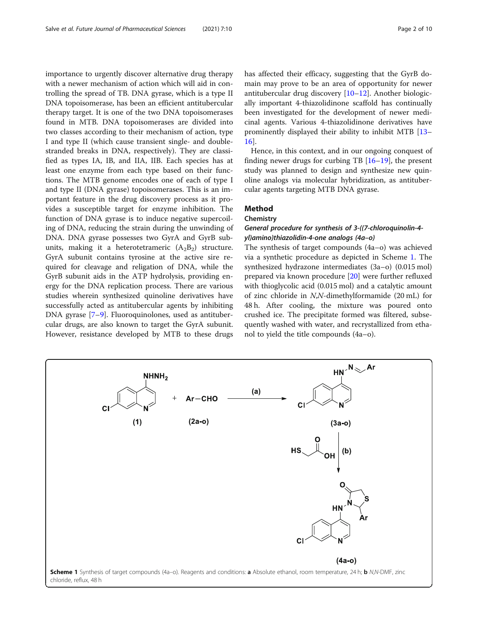<span id="page-1-0"></span>importance to urgently discover alternative drug therapy with a newer mechanism of action which will aid in controlling the spread of TB. DNA gyrase, which is a type II DNA topoisomerase, has been an efficient antitubercular therapy target. It is one of the two DNA topoisomerases found in MTB. DNA topoisomerases are divided into two classes according to their mechanism of action, type I and type II (which cause transient single- and doublestranded breaks in DNA, respectively). They are classified as types IA, IB, and IIA, IIB. Each species has at least one enzyme from each type based on their functions. The MTB genome encodes one of each of type I and type II (DNA gyrase) topoisomerases. This is an important feature in the drug discovery process as it provides a susceptible target for enzyme inhibition. The function of DNA gyrase is to induce negative supercoiling of DNA, reducing the strain during the unwinding of DNA. DNA gyrase possesses two GyrA and GyrB subunits, making it a heterotetrameric  $(A_2B_2)$  structure. GyrA subunit contains tyrosine at the active sire required for cleavage and religation of DNA, while the GyrB subunit aids in the ATP hydrolysis, providing energy for the DNA replication process. There are various studies wherein synthesized quinoline derivatives have successfully acted as antitubercular agents by inhibiting DNA gyrase [[7](#page-8-0)–[9\]](#page-8-0). Fluoroquinolones, used as antitubercular drugs, are also known to target the GyrA subunit. However, resistance developed by MTB to these drugs has affected their efficacy, suggesting that the GyrB domain may prove to be an area of opportunity for newer antitubercular drug discovery [[10](#page-8-0)–[12](#page-8-0)]. Another biologically important 4-thiazolidinone scaffold has continually been investigated for the development of newer medicinal agents. Various 4-thiazolidinone derivatives have prominently displayed their ability to inhibit MTB [[13](#page-8-0)– [16\]](#page-8-0).

Hence, in this context, and in our ongoing conquest of finding newer drugs for curbing TB [\[16](#page-8-0)–[19\]](#page-8-0), the present study was planned to design and synthesize new quinoline analogs via molecular hybridization, as antitubercular agents targeting MTB DNA gyrase.

# Method

# **Chemistry**

# General procedure for synthesis of 3-((7-chloroquinolin-4 yl)amino)thiazolidin-4-one analogs (4a–o)

The synthesis of target compounds (4a–o) was achieved via a synthetic procedure as depicted in Scheme 1. The synthesized hydrazone intermediates (3a–o) (0.015 mol) prepared via known procedure [\[20\]](#page-8-0) were further refluxed with thioglycolic acid (0.015 mol) and a catalytic amount of zinc chloride in N,N-dimethylformamide (20 mL) for 48 h. After cooling, the mixture was poured onto crushed ice. The precipitate formed was filtered, subsequently washed with water, and recrystallized from ethanol to yield the title compounds (4a–o).

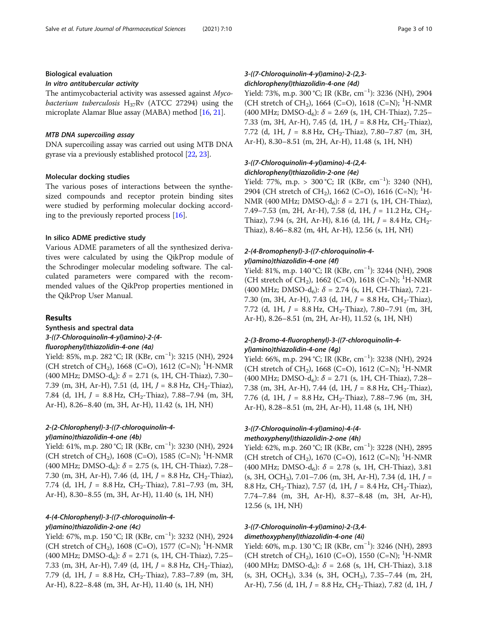# Biological evaluation

#### In vitro antitubercular activity

The antimycobacterial activity was assessed against Myco*bacterium tuberculosis*  $H_{37}Rv$  (ATCC 27294) using the microplate Alamar Blue assay (MABA) method [[16](#page-8-0), [21\]](#page-8-0).

#### MTB DNA supercoiling assay

DNA supercoiling assay was carried out using MTB DNA gyrase via a previously established protocol [\[22,](#page-8-0) [23\]](#page-8-0).

#### Molecular docking studies

The various poses of interactions between the synthesized compounds and receptor protein binding sites were studied by performing molecular docking according to the previously reported process [\[16\]](#page-8-0).

#### In silico ADME predictive study

Various ADME parameters of all the synthesized derivatives were calculated by using the QikProp module of the Schrodinger molecular modeling software. The calculated parameters were compared with the recommended values of the QikProp properties mentioned in the QikProp User Manual.

#### Results

# Synthesis and spectral data 3-((7-Chloroquinolin-4-yl)amino)-2-(4 fluorophenyl)thiazolidin-4-one (4a)

Yield: 85%, m.p. 282 °C; IR (KBr, cm−<sup>1</sup> ): 3215 (NH), 2924 (CH stretch of CH<sub>2</sub>), 1668 (C=O), 1612 (C=N); <sup>1</sup>H-NMR (400 MHz; DMSO-d<sub>6</sub>):  $\delta$  = 2.71 (s, 1H, CH-Thiaz), 7.30– 7.39 (m, 3H, Ar-H), 7.51 (d, 1H,  $J = 8.8$  Hz, CH<sub>2</sub>-Thiaz), 7.84 (d, 1H,  $J = 8.8$  Hz, CH<sub>2</sub>-Thiaz), 7.88–7.94 (m, 3H, Ar-H), 8.26–8.40 (m, 3H, Ar-H), 11.42 (s, 1H, NH)

# 2-(2-Chlorophenyl)-3-((7-chloroquinolin-4 yl)amino)thiazolidin-4-one (4b)

.<br>Yield: 61%, m.p. 280 °C; IR (KBr, cm<sup>−1</sup>): 3230 (NH), 2924 (CH stretch of CH<sub>2</sub>), 1608 (C=O), 1585 (C=N); <sup>1</sup>H-NMR (400 MHz; DMSO-d<sub>6</sub>):  $\delta$  = 2.75 (s, 1H, CH-Thiaz), 7.28– 7.30 (m, 3H, Ar-H), 7.46 (d, 1H,  $J = 8.8$  Hz, CH<sub>2</sub>-Thiaz), 7.74 (d, 1H,  $J = 8.8$  Hz, CH<sub>2</sub>-Thiaz), 7.81-7.93 (m, 3H, Ar-H), 8.30–8.55 (m, 3H, Ar-H), 11.40 (s, 1H, NH)

# 4-(4-Chlorophenyl)-3-((7-chloroquinolin-4 yl)amino)thiazolidin-2-one (4c)

Yield: 67%, m.p. 150 °C; IR (KBr, cm−<sup>1</sup> ): 3232 (NH), 2924 (CH stretch of CH<sub>2</sub>), 1608 (C=O), 1577 (C=N); <sup>1</sup>H-NMR (400 MHz; DMSO-d<sub>6</sub>):  $\delta$  = 2.71 (s, 1H, CH-Thiaz), 7.25– 7.33 (m, 3H, Ar-H), 7.49 (d, 1H,  $J = 8.8$  Hz,  $CH_2$ -Thiaz), 7.79 (d, 1H,  $J = 8.8$  Hz, CH<sub>2</sub>-Thiaz), 7.83–7.89 (m, 3H, Ar-H), 8.22–8.48 (m, 3H, Ar-H), 11.40 (s, 1H, NH)

# 3-((7-Chloroquinolin-4-yl)amino)-2-(2,3 dichlorophenyl)thiazolidin-4-one (4d)

Yield: 73%, m.p. 300 °C; IR (KBr, cm−<sup>1</sup> ): 3236 (NH), 2904 (CH stretch of CH<sub>2</sub>), 1664 (C=O), 1618 (C=N); <sup>1</sup>H-NMR (400 MHz; DMSO-d<sub>6</sub>):  $\delta$  = 2.69 (s, 1H, CH-Thiaz), 7.25– 7.33 (m, 3H, Ar-H), 7.45 (d, 1H,  $J = 8.8$  Hz, CH<sub>2</sub>-Thiaz), 7.72 (d, 1H,  $J = 8.8$  Hz, CH<sub>2</sub>-Thiaz), 7.80–7.87 (m, 3H, Ar-H), 8.30–8.51 (m, 2H, Ar-H), 11.48 (s, 1H, NH)

# 3-((7-Chloroquinolin-4-yl)amino)-4-(2,4 dichlorophenyl)thiazolidin-2-one (4e)

Yield: 77%, m.p. > 300 °C; IR (KBr, cm−<sup>1</sup> ): 3240 (NH), 2904 (CH stretch of CH<sub>2</sub>), 1662 (C=O), 1616 (C=N); <sup>1</sup>H-NMR (400 MHz; DMSO-d<sub>6</sub>):  $\delta$  = 2.71 (s, 1H, CH-Thiaz), 7.49–7.53 (m, 2H, Ar-H), 7.58 (d, 1H,  $J = 11.2$  Hz, CH<sub>2</sub>-Thiaz), 7.94 (s, 2H, Ar-H), 8.16 (d, 1H,  $J = 8.4$  Hz,  $CH_2$ -Thiaz), 8.46–8.82 (m, 4H, Ar-H), 12.56 (s, 1H, NH)

## 2-(4-Bromophenyl)-3-((7-chloroquinolin-4 yl)amino)thiazolidin-4-one (4f)

Yield: 81%, m.p. 140 °C; IR (KBr, cm−<sup>1</sup> ): 3244 (NH), 2908 (CH stretch of CH<sub>2</sub>), 1662 (C=O), 1618 (C=N); <sup>1</sup>H-NMR (400 MHz; DMSO-d<sub>6</sub>):  $\delta$  = 2.74 (s, 1H, CH-Thiaz), 7.21-7.30 (m, 3H, Ar-H), 7.43 (d, 1H,  $J = 8.8$  Hz, CH<sub>2</sub>-Thiaz), 7.72 (d, 1H,  $J = 8.8$  Hz, CH<sub>2</sub>-Thiaz), 7.80–7.91 (m, 3H, Ar-H), 8.26–8.51 (m, 2H, Ar-H), 11.52 (s, 1H, NH)

# 2-(3-Bromo-4-fluorophenyl)-3-((7-chloroquinolin-4 yl)amino)thiazolidin-4-one (4g)

Yield: 66%, m.p. 294 °C; IR (KBr, cm−<sup>1</sup> ): 3238 (NH), 2924 (CH stretch of CH<sub>2</sub>), 1668 (C=O), 1612 (C=N); <sup>1</sup>H-NMR (400 MHz; DMSO-d<sub>6</sub>):  $\delta$  = 2.71 (s, 1H, CH-Thiaz), 7.28– 7.38 (m, 3H, Ar-H), 7.44 (d, 1H,  $J = 8.8$  Hz, CH<sub>2</sub>-Thiaz), 7.76 (d, 1H,  $J = 8.8$  Hz, CH<sub>2</sub>-Thiaz), 7.88–7.96 (m, 3H, Ar-H), 8.28–8.51 (m, 2H, Ar-H), 11.48 (s, 1H, NH)

## 3-((7-Chloroquinolin-4-yl)amino)-4-(4 methoxyphenyl)thiazolidin-2-one (4h)

Yield: 62%, m.p. 260 °C; IR (KBr, cm−<sup>1</sup> ): 3228 (NH), 2895 (CH stretch of CH<sub>2</sub>), 1670 (C=O), 1612 (C=N); <sup>1</sup>H-NMR (400 MHz; DMSO-d<sub>6</sub>):  $\delta$  = 2.78 (s, 1H, CH-Thiaz), 3.81  $(s, 3H, OCH<sub>3</sub>), 7.01-7.06$  (m, 3H, Ar-H), 7.34 (d, 1H,  $J =$ 8.8 Hz, CH<sub>2</sub>-Thiaz), 7.57 (d, 1H,  $J = 8.4$  Hz, CH<sub>2</sub>-Thiaz), 7.74–7.84 (m, 3H, Ar-H), 8.37–8.48 (m, 3H, Ar-H), 12.56 (s, 1H, NH)

# 3-((7-Chloroquinolin-4-yl)amino)-2-(3,4 dimethoxyphenyl)thiazolidin-4-one (4i)

Yield: 60%, m.p. 130 °C; IR (KBr, cm−<sup>1</sup> ): 3246 (NH), 2893 (CH stretch of CH<sub>2</sub>), 1610 (C=O), 1550 (C=N); <sup>1</sup>H-NMR  $(400 \text{ MHz}; \text{ DMSO-d}_6): \delta = 2.68 \text{ (s, 1H, CH-Thiaz)}, 3.18$  $(s, 3H, OCH<sub>3</sub>)$ , 3.34  $(s, 3H, OCH<sub>3</sub>)$ , 7.35–7.44  $(m, 2H,$ Ar-H), 7.56 (d, 1H,  $J = 8.8$  Hz, CH<sub>2</sub>-Thiaz), 7.82 (d, 1H,  $J$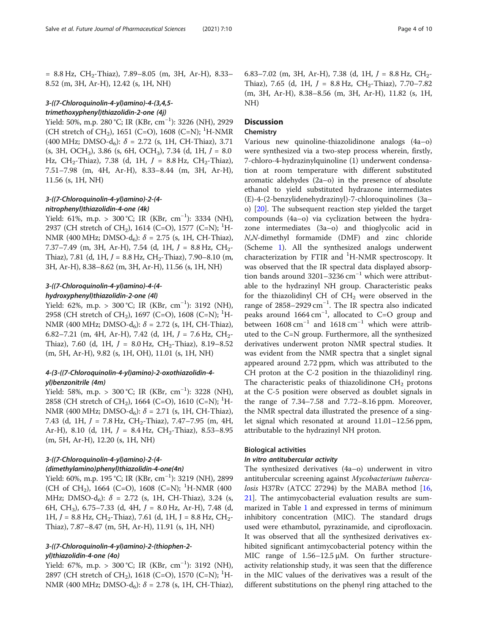$= 8.8$  Hz, CH<sub>2</sub>-Thiaz), 7.89–8.05 (m, 3H, Ar-H), 8.33– 8.52 (m, 3H, Ar-H), 12.42 (s, 1H, NH)

#### 3-((7-Chloroquinolin-4-yl)amino)-4-(3,4,5 trimethoxyphenyl)thiazolidin-2-one (4j)

Yield: 50%, m.p. 280 °C; IR (KBr, cm−<sup>1</sup> ): 3226 (NH), 2929 (CH stretch of CH<sub>2</sub>), 1651 (C=O), 1608 (C=N); <sup>1</sup>H-NMR (400 MHz; DMSO-d<sub>6</sub>):  $\delta$  = 2.72 (s, 1H, CH-Thiaz), 3.71  $(s, 3H, OCH<sub>3</sub>)$ , 3.86  $(s, 6H, OCH<sub>3</sub>)$ , 7.34  $(d, 1H, J = 8.0)$ Hz, CH<sub>2</sub>-Thiaz), 7.38 (d, 1H,  $J = 8.8$  Hz, CH<sub>2</sub>-Thiaz), 7.51–7.98 (m, 4H, Ar-H), 8.33–8.44 (m, 3H, Ar-H), 11.56 (s, 1H, NH)

# 3-((7-Chloroquinolin-4-yl)amino)-2-(4 nitrophenyl)thiazolidin-4-one (4k)

Yield: 61%, m.p. > 300 °C; IR (KBr, cm−<sup>1</sup> ): 3334 (NH), 2937 (CH stretch of CH<sub>2</sub>), 1614 (C=O), 1577 (C=N); <sup>1</sup>H-NMR (400 MHz; DMSO-d<sub>6</sub>):  $\delta$  = 2.75 (s, 1H, CH-Thiaz), 7.37–7.49 (m, 3H, Ar-H), 7.54 (d, 1H,  $J = 8.8$  Hz, CH<sub>2</sub>-Thiaz), 7.81 (d, 1H,  $J = 8.8$  Hz, CH<sub>2</sub>-Thiaz), 7.90–8.10 (m, 3H, Ar-H), 8.38–8.62 (m, 3H, Ar-H), 11.56 (s, 1H, NH)

## 3-((7-Chloroquinolin-4-yl)amino)-4-(4 hydroxyphenyl)thiazolidin-2-one (4l)

Yield: 62%, m.p. > 300 °C; IR (KBr, cm−<sup>1</sup> ): 3192 (NH), 2958 (CH stretch of CH<sub>2</sub>), 1697 (C=O), 1608 (C=N); <sup>1</sup>H-NMR (400 MHz; DMSO-d<sub>6</sub>):  $\delta$  = 2.72 (s, 1H, CH-Thiaz), 6.82–7.21 (m, 4H, Ar-H), 7.42 (d, 1H,  $J = 7.6$  Hz,  $CH_2$ -Thiaz), 7.60 (d, 1H,  $J = 8.0$  Hz, CH<sub>2</sub>-Thiaz), 8.19-8.52 (m, 5H, Ar-H), 9.82 (s, 1H, OH), 11.01 (s, 1H, NH)

#### 4-(3-((7-Chloroquinolin-4-yl)amino)-2-oxothiazolidin-4 yl)benzonitrile (4m)

Yield: 58%, m.p. > 300 °C; IR (KBr, cm−<sup>1</sup> ): 3228 (NH), 2858 (CH stretch of CH<sub>2</sub>), 1664 (C=O), 1610 (C=N); <sup>1</sup>H-NMR (400 MHz; DMSO-d<sub>6</sub>):  $\delta$  = 2.71 (s, 1H, CH-Thiaz), 7.43 (d, 1H,  $J = 7.8$  Hz, CH<sub>2</sub>-Thiaz), 7.47–7.95 (m, 4H, Ar-H), 8.10 (d, 1H,  $J = 8.4$  Hz, CH<sub>2</sub>-Thiaz), 8.53-8.95 (m, 5H, Ar-H), 12.20 (s, 1H, NH)

# 3-((7-Chloroquinolin-4-yl)amino)-2-(4- (dimethylamino)phenyl)thiazolidin-4-one(4n)

Yield: 60%, m.p. 195 °C; IR (KBr, cm−<sup>1</sup> ): 3219 (NH), 2899 (CH of CH<sub>2</sub>), 1664 (C=O), 1608 (C=N); <sup>1</sup>H-NMR (400 MHz; DMSO-d<sub>6</sub>): δ = 2.72 (s, 1H, CH-Thiaz), 3.24 (s, 6H, CH<sub>3</sub>), 6.75–7.33 (d, 4H,  $J = 8.0$  Hz, Ar-H), 7.48 (d, 1H,  $J = 8.8$  Hz, CH<sub>2</sub>-Thiaz), 7.61 (d, 1H, J = 8.8 Hz, CH<sub>2</sub>-Thiaz), 7.87–8.47 (m, 5H, Ar-H), 11.91 (s, 1H, NH)

# 3-((7-Chloroquinolin-4-yl)amino)-2-(thiophen-2 yl)thiazolidin-4-one (4o)

Yield: 67%, m.p. > 300 °C; IR (KBr, cm−<sup>1</sup> ): 3192 (NH), 2897 (CH stretch of CH<sub>2</sub>), 1618 (C=O), 1570 (C=N); <sup>1</sup>H-NMR (400 MHz; DMSO-d<sub>6</sub>):  $\delta$  = 2.78 (s, 1H, CH-Thiaz),

6.83–7.02 (m, 3H, Ar-H), 7.38 (d, 1H,  $J = 8.8$  Hz,  $CH_2$ -Thiaz), 7.65 (d, 1H,  $J = 8.8$  Hz, CH<sub>2</sub>-Thiaz), 7.70–7.82 (m, 3H, Ar-H), 8.38–8.56 (m, 3H, Ar-H), 11.82 (s, 1H, NH)

# **Discussion**

#### Chemistry

Various new quinoline-thiazolidinone analogs (4a–o) were synthesized via a two-step process wherein, firstly, 7-chloro-4-hydrazinylquinoline (1) underwent condensation at room temperature with different substituted aromatic aldehydes (2a–o) in the presence of absolute ethanol to yield substituted hydrazone intermediates (E)-4-(2-benzylidenehydrazinyl)-7-chloroquinolines (3a– o) [[20\]](#page-8-0). The subsequent reaction step yielded the target compounds (4a–o) via cyclization between the hydrazone intermediates (3a–o) and thioglycolic acid in N,N-dimethyl formamide (DMF) and zinc chloride (Scheme [1\)](#page-1-0). All the synthesized analogs underwent characterization by FTIR and <sup>1</sup>H-NMR spectroscopy. It was observed that the IR spectral data displayed absorption bands around 3201–3236  $cm^{-1}$  which were attributable to the hydrazinyl NH group. Characteristic peaks for the thiazolidinyl CH of  $CH<sub>2</sub>$  were observed in the range of 2858–2929 cm−<sup>1</sup> . The IR spectra also indicated peaks around 1664 cm<sup>-1</sup>, allocated to C=O group and between  $1608 \text{ cm}^{-1}$  and  $1618 \text{ cm}^{-1}$  which were attributed to the C=N group. Furthermore, all the synthesized derivatives underwent proton NMR spectral studies. It was evident from the NMR spectra that a singlet signal appeared around 2.72 ppm, which was attributed to the CH proton at the C-2 position in the thiazolidinyl ring. The characteristic peaks of thiazolidinone  $CH<sub>2</sub>$  protons at the C-5 position were observed as doublet signals in the range of 7.34–7.58 and 7.72–8.16 ppm. Moreover, the NMR spectral data illustrated the presence of a singlet signal which resonated at around 11.01–12.56 ppm, attributable to the hydrazinyl NH proton.

# Biological activities

#### In vitro antitubercular activity

The synthesized derivatives (4a–o) underwent in vitro antitubercular screening against Mycobacterium tubercu*losis* H37Rv (ATCC 27294) by the MABA method  $[16,$  $[16,$  $[16,$ [21\]](#page-8-0). The antimycobacterial evaluation results are summarized in Table [1](#page-4-0) and expressed in terms of minimum inhibitory concentration (MIC). The standard drugs used were ethambutol, pyrazinamide, and ciprofloxacin. It was observed that all the synthesized derivatives exhibited significant antimycobacterial potency within the MIC range of 1.56–12.5 μM. On further structureactivity relationship study, it was seen that the difference in the MIC values of the derivatives was a result of the different substitutions on the phenyl ring attached to the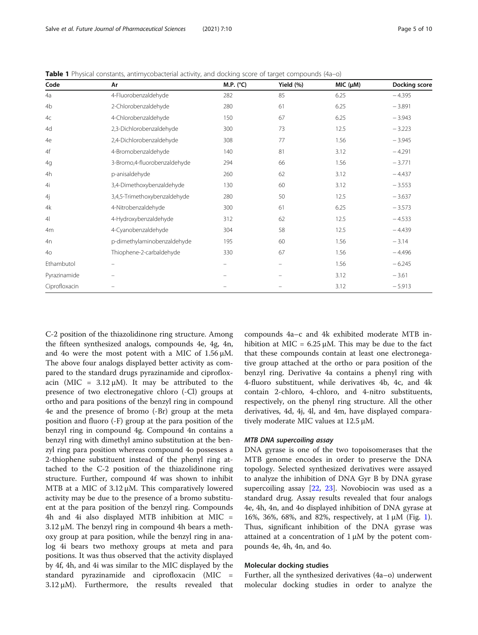| Code            | Ar                           | M.P. (°C)                | Yield (%) | MIC (µM) | Docking score |
|-----------------|------------------------------|--------------------------|-----------|----------|---------------|
| 4a              | 4-Fluorobenzaldehyde         | 282                      | 85        | 6.25     | $-4.395$      |
| 4 <sub>b</sub>  | 2-Chlorobenzaldehyde         | 280                      | 61        | 6.25     | $-3.891$      |
| 4c              | 4-Chlorobenzaldehyde         | 150                      | 67        | 6.25     | $-3.943$      |
| 4d              | 2,3-Dichlorobenzaldehyde     | 300                      | 73        | 12.5     | $-3.223$      |
| 4e              | 2,4-Dichlorobenzaldehyde     | 308                      | 77        | 1.56     | $-3.945$      |
| 4f              | 4-Bromobenzaldehyde          | 140                      | 81        | 3.12     | $-4.291$      |
| 4g              | 3-Bromo,4-fluorobenzaldehyde | 294                      | 66        | 1.56     | $-3.771$      |
| 4h              | p-anisaldehyde               | 260                      | 62        | 3.12     | $-4.437$      |
| 4i              | 3,4-Dimethoxybenzaldehyde    | 130                      | 60        | 3.12     | $-3.553$      |
| 4j              | 3,4,5-Trimethoxybenzaldehyde | 280                      | 50        | 12.5     | $-3.637$      |
| 4k              | 4-Nitrobenzaldehyde          | 300                      | 61        | 6.25     | $-3.573$      |
| 4 <sup>1</sup>  | 4-Hydroxybenzaldehyde        | 312                      | 62        | 12.5     | $-4.533$      |
| 4m              | 4-Cyanobenzaldehyde          | 304                      | 58        | 12.5     | $-4.439$      |
| 4n              | p-dimethylaminobenzaldehyde  | 195                      | 60        | 1.56     | $-3.14$       |
| 40 <sup>°</sup> | Thiophene-2-carbaldehyde     | 330                      | 67        | 1.56     | $-4.496$      |
| Ethambutol      | $\equiv$                     | $\overline{\phantom{0}}$ | $\equiv$  | 1.56     | $-6.245$      |
| Pyrazinamide    |                              |                          |           | 3.12     | $-3.61$       |
| Ciprofloxacin   |                              |                          |           | 3.12     | $-5.913$      |

<span id="page-4-0"></span>Table 1 Physical constants, antimycobacterial activity, and docking score of target compounds (4a–o)

C-2 position of the thiazolidinone ring structure. Among the fifteen synthesized analogs, compounds 4e, 4g, 4n, and 4o were the most potent with a MIC of 1.56 μM. The above four analogs displayed better activity as compared to the standard drugs pyrazinamide and ciprofloxacin (MIC =  $3.12 \mu$ M). It may be attributed to the presence of two electronegative chloro (-Cl) groups at ortho and para positions of the benzyl ring in compound 4e and the presence of bromo (-Br) group at the meta position and fluoro (-F) group at the para position of the benzyl ring in compound 4g. Compound 4n contains a benzyl ring with dimethyl amino substitution at the benzyl ring para position whereas compound 4o possesses a 2-thiophene substituent instead of the phenyl ring attached to the C-2 position of the thiazolidinone ring structure. Further, compound 4f was shown to inhibit MTB at a MIC of  $3.12 \mu$ M. This comparatively lowered activity may be due to the presence of a bromo substituent at the para position of the benzyl ring. Compounds 4h and 4i also displayed MTB inhibition at MIC = 3.12 μM. The benzyl ring in compound 4h bears a methoxy group at para position, while the benzyl ring in analog 4i bears two methoxy groups at meta and para positions. It was thus observed that the activity displayed by 4f, 4h, and 4i was similar to the MIC displayed by the standard pyrazinamide and ciprofloxacin (MIC =  $3.12 \mu M$ ). Furthermore, the results revealed that compounds 4a–c and 4k exhibited moderate MTB inhibition at MIC =  $6.25 \mu$ M. This may be due to the fact that these compounds contain at least one electronegative group attached at the ortho or para position of the benzyl ring. Derivative 4a contains a phenyl ring with 4-fluoro substituent, while derivatives 4b, 4c, and 4k contain 2-chloro, 4-chloro, and 4-nitro substituents, respectively, on the phenyl ring structure. All the other derivatives, 4d, 4j, 4l, and 4m, have displayed comparatively moderate MIC values at 12.5 μM.

#### MTB DNA supercoiling assay

DNA gyrase is one of the two topoisomerases that the MTB genome encodes in order to preserve the DNA topology. Selected synthesized derivatives were assayed to analyze the inhibition of DNA Gyr B by DNA gyrase supercoiling assay [\[22](#page-8-0), [23\]](#page-8-0). Novobiocin was used as a standard drug. Assay results revealed that four analogs 4e, 4h, 4n, and 4o displayed inhibition of DNA gyrase at 16%, 36%, 68%, and 82%, respectively, at 1 μM (Fig. [1](#page-5-0)). Thus, significant inhibition of the DNA gyrase was attained at a concentration of 1 μM by the potent compounds 4e, 4h, 4n, and 4o.

#### Molecular docking studies

Further, all the synthesized derivatives (4a–o) underwent molecular docking studies in order to analyze the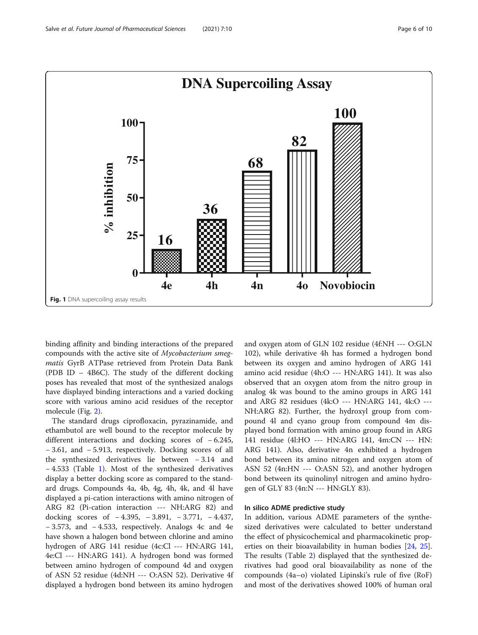<span id="page-5-0"></span>

binding affinity and binding interactions of the prepared compounds with the active site of Mycobacterium smegmatis GyrB ATPase retrieved from Protein Data Bank (PDB ID – 4B6C). The study of the different docking poses has revealed that most of the synthesized analogs have displayed binding interactions and a varied docking score with various amino acid residues of the receptor molecule (Fig. [2](#page-6-0)).

The standard drugs ciprofloxacin, pyrazinamide, and ethambutol are well bound to the receptor molecule by different interactions and docking scores of − 6.245, − 3.61, and − 5.913, respectively. Docking scores of all the synthesized derivatives lie between − 3.14 and − 4.533 (Table [1\)](#page-4-0). Most of the synthesized derivatives display a better docking score as compared to the standard drugs. Compounds 4a, 4b, 4g, 4h, 4k, and 4l have displayed a pi-cation interactions with amino nitrogen of ARG 82 (Pi-cation interaction --- NH:ARG 82) and docking scores of − 4.395, − 3.891, − 3.771, − 4.437, − 3.573, and − 4.533, respectively. Analogs 4c and 4e have shown a halogen bond between chlorine and amino hydrogen of ARG 141 residue (4c:Cl --- HN:ARG 141, 4e:Cl --- HN:ARG 141). A hydrogen bond was formed between amino hydrogen of compound 4d and oxygen of ASN 52 residue (4d:NH --- O:ASN 52). Derivative 4f displayed a hydrogen bond between its amino hydrogen

and oxygen atom of GLN 102 residue (4f:NH --- O:GLN 102), while derivative 4h has formed a hydrogen bond between its oxygen and amino hydrogen of ARG 141 amino acid residue (4h:O --- HN:ARG 141). It was also observed that an oxygen atom from the nitro group in analog 4k was bound to the amino groups in ARG 141 and ARG 82 residues (4k:O --- HN:ARG 141, 4k:O --- NH:ARG 82). Further, the hydroxyl group from compound 4l and cyano group from compound 4m displayed bond formation with amino group found in ARG 141 residue (4l:HO --- HN:ARG 141, 4m:CN --- HN: ARG 141). Also, derivative 4n exhibited a hydrogen bond between its amino nitrogen and oxygen atom of ASN 52 (4n:HN --- O:ASN 52), and another hydrogen bond between its quinolinyl nitrogen and amino hydrogen of GLY 83 (4n:N --- HN:GLY 83).

# In silico ADME predictive study

In addition, various ADME parameters of the synthesized derivatives were calculated to better understand the effect of physicochemical and pharmacokinetic properties on their bioavailability in human bodies [\[24](#page-9-0), [25](#page-9-0)]. The results (Table [2](#page-7-0)) displayed that the synthesized derivatives had good oral bioavailability as none of the compounds (4a–o) violated Lipinski's rule of five (RoF) and most of the derivatives showed 100% of human oral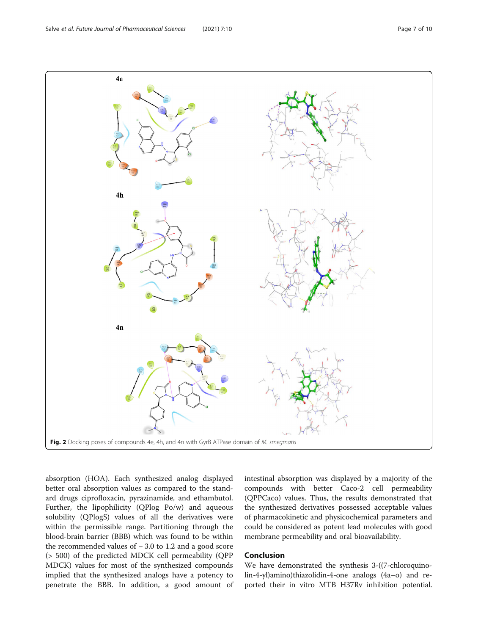<span id="page-6-0"></span>

absorption (HOA). Each synthesized analog displayed better oral absorption values as compared to the standard drugs ciprofloxacin, pyrazinamide, and ethambutol. Further, the lipophilicity (QPlog Po/w) and aqueous solubility (QPlogS) values of all the derivatives were within the permissible range. Partitioning through the blood-brain barrier (BBB) which was found to be within the recommended values of − 3.0 to 1.2 and a good score (> 500) of the predicted MDCK cell permeability (QPP MDCK) values for most of the synthesized compounds implied that the synthesized analogs have a potency to penetrate the BBB. In addition, a good amount of intestinal absorption was displayed by a majority of the compounds with better Caco-2 cell permeability (QPPCaco) values. Thus, the results demonstrated that the synthesized derivatives possessed acceptable values of pharmacokinetic and physicochemical parameters and could be considered as potent lead molecules with good membrane permeability and oral bioavailability.

#### Conclusion

We have demonstrated the synthesis 3-((7-chloroquinolin-4-yl)amino)thiazolidin-4-one analogs (4a–o) and reported their in vitro MTB H37Rv inhibition potential.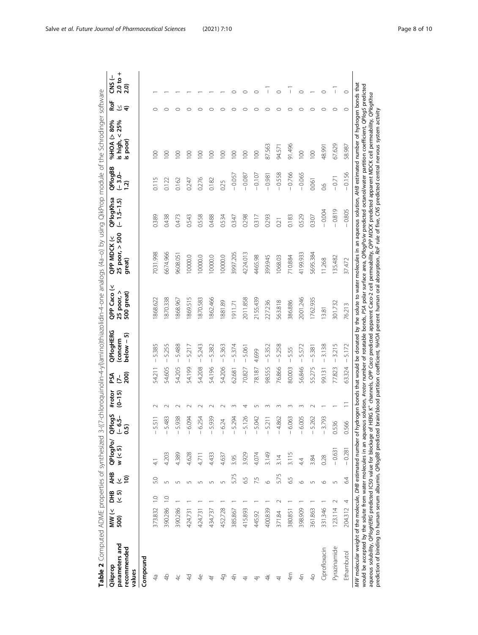<span id="page-7-0"></span>

| %08<) KOH% a agoold o "subsold o "> YAJOM dd > "> ove" dd o "DaiHoold o "Ya " o " " Sook" soca<br>ŗ<br>$\overline{ }$<br>j | -<br>COL<br>2 |  | und And u-<br>aua aua |
|----------------------------------------------------------------------------------------------------------------------------|---------------|--|-----------------------|
|----------------------------------------------------------------------------------------------------------------------------|---------------|--|-----------------------|

| parameters and<br>recommended<br>Qikprop<br>values                                                                                                                                                                                                                                                                                                                                                                                                                                                                                                                                                                                                                            | $\frac{1}{2}$<br>500) | 운.<br>모주      | AHB<br>$\tilde{\mathcal{X}}$<br>$\overline{5}$ | QPlogPo/<br>$w$ (< 5) | 0PlogS<br>(- 6.5-<br>0.5)                                                                                                                                                                                                                                                                                                                                                                 | #rotor<br>$(0 - 15)$ | $\overline{200}$<br>ΡŚΑ<br>$\bar{C}$ | <b>QPlogHERG</b><br>$below - 5)$<br>(concern | QPP Caco (<<br>25 poor, ><br>500 great) | 25 poor, > 500<br><b>QPP MDCK (&lt;</b><br>great)                                                                                         | QPlogKhsa<br>$(-1.5 - 1.5)$ | QPIogBB<br>$(-3.0 -$<br>(5.1) | 25%<br>$%$ HOA ( $>$ 80%<br>is high, $<$<br>is poor) | R٥F<br>⊻∓ | $2.0 t0 +$<br>$2.0$<br>−<br>SK        |
|-------------------------------------------------------------------------------------------------------------------------------------------------------------------------------------------------------------------------------------------------------------------------------------------------------------------------------------------------------------------------------------------------------------------------------------------------------------------------------------------------------------------------------------------------------------------------------------------------------------------------------------------------------------------------------|-----------------------|---------------|------------------------------------------------|-----------------------|-------------------------------------------------------------------------------------------------------------------------------------------------------------------------------------------------------------------------------------------------------------------------------------------------------------------------------------------------------------------------------------------|----------------------|--------------------------------------|----------------------------------------------|-----------------------------------------|-------------------------------------------------------------------------------------------------------------------------------------------|-----------------------------|-------------------------------|------------------------------------------------------|-----------|---------------------------------------|
| Compound                                                                                                                                                                                                                                                                                                                                                                                                                                                                                                                                                                                                                                                                      |                       |               |                                                |                       |                                                                                                                                                                                                                                                                                                                                                                                           |                      |                                      |                                              |                                         |                                                                                                                                           |                             |                               |                                                      |           |                                       |
| 49                                                                                                                                                                                                                                                                                                                                                                                                                                                                                                                                                                                                                                                                            | 373.832 1.0           |               | 5.0                                            |                       | 5.511<br>$\sf I$                                                                                                                                                                                                                                                                                                                                                                          |                      | 54.211                               | 5.385<br>$\overline{\phantom{a}}$            | 868.622                                 | 7031.998                                                                                                                                  | 0.389                       | 0.115                         | 8                                                    | C         |                                       |
| $rac{4}{5}$                                                                                                                                                                                                                                                                                                                                                                                                                                                                                                                                                                                                                                                                   | 390.286               | $\frac{0}{1}$ | 5                                              | 4.203                 | 5.483<br>$\begin{array}{c} \end{array}$                                                                                                                                                                                                                                                                                                                                                   |                      | 54.605                               | 5.255<br>$\mathbf{I}$                        | 870.338                                 | 6674.966                                                                                                                                  | 0.438                       | 0.122                         | $\overline{\mathsf{S}}$                              |           |                                       |
| $\frac{1}{4}$                                                                                                                                                                                                                                                                                                                                                                                                                                                                                                                                                                                                                                                                 | 390.286               |               | 5                                              | 4.389                 | 5.938<br>$\overline{\phantom{a}}$                                                                                                                                                                                                                                                                                                                                                         |                      | 54.205                               | 5.488<br>$\overline{1}$                      | 868.967                                 | 9608.05                                                                                                                                   | 0.473                       | 0.162                         | 8                                                    |           |                                       |
| ¥                                                                                                                                                                                                                                                                                                                                                                                                                                                                                                                                                                                                                                                                             | 424.731               |               | 5                                              | 4.628                 | 6.094<br>$\, \vert \,$                                                                                                                                                                                                                                                                                                                                                                    |                      | 54.199                               | 5.217<br>$\mathbf{I}$                        | 869.515                                 | 0000.0                                                                                                                                    | 0.543                       | 0.247                         | $\leq$                                               |           |                                       |
| $\frac{1}{4}$                                                                                                                                                                                                                                                                                                                                                                                                                                                                                                                                                                                                                                                                 | 424.731               |               | Ln                                             | 4.71                  | 6.254<br>I                                                                                                                                                                                                                                                                                                                                                                                |                      | 54.208                               | 5.243<br>$\mathbf{I}$                        | 870.583                                 | 10000.0                                                                                                                                   | 0.558                       | 0.276                         | 8                                                    |           |                                       |
| ₩                                                                                                                                                                                                                                                                                                                                                                                                                                                                                                                                                                                                                                                                             | 434.737               |               | 5                                              | 4.433                 | 5.939<br>$\begin{array}{c} \hline \end{array}$                                                                                                                                                                                                                                                                                                                                            |                      | 54.196                               | 5.382<br>$\mathbf{I}$                        | 862.466                                 | 0000.0                                                                                                                                    | 0.488                       | 0.182                         | $\geq$                                               |           |                                       |
| 40                                                                                                                                                                                                                                                                                                                                                                                                                                                                                                                                                                                                                                                                            | 452.728               |               | 5                                              | 4.637                 | 624<br>$\begin{array}{c} \rule{0pt}{2.5ex} \rule{0pt}{2.5ex} \rule{0pt}{2.5ex} \rule{0pt}{2.5ex} \rule{0pt}{2.5ex} \rule{0pt}{2.5ex} \rule{0pt}{2.5ex} \rule{0pt}{2.5ex} \rule{0pt}{2.5ex} \rule{0pt}{2.5ex} \rule{0pt}{2.5ex} \rule{0pt}{2.5ex} \rule{0pt}{2.5ex} \rule{0pt}{2.5ex} \rule{0pt}{2.5ex} \rule{0pt}{2.5ex} \rule{0pt}{2.5ex} \rule{0pt}{2.5ex} \rule{0pt}{2.5ex} \rule{0$   |                      | 54.206                               | 5.363<br>$\overline{1}$                      | 1881.89                                 | 10000.0                                                                                                                                   | 0.534                       | 0.25                          | $\geq$                                               |           |                                       |
| €                                                                                                                                                                                                                                                                                                                                                                                                                                                                                                                                                                                                                                                                             | 385.867               |               | 5.75                                           | 3.95                  | 5.294<br>$\begin{array}{c} \end{array}$                                                                                                                                                                                                                                                                                                                                                   |                      | 62.681                               | 5.374<br>$\mathfrak l$                       | 1911.71                                 | 3997.205                                                                                                                                  | 0.347                       | $-0.057$                      | $\geq$                                               |           |                                       |
| $\frac{4}{5}$                                                                                                                                                                                                                                                                                                                                                                                                                                                                                                                                                                                                                                                                 | 415.893               |               | 6.5                                            | 3.929                 | 5.126<br>$\begin{array}{c} \hline \end{array}$                                                                                                                                                                                                                                                                                                                                            |                      | 70.827                               | 5.061<br>$\overline{\phantom{a}}$            | 2011.858                                | 4224.013                                                                                                                                  | 0.298                       | 0.087                         | $\geq$                                               |           | C                                     |
| 4                                                                                                                                                                                                                                                                                                                                                                                                                                                                                                                                                                                                                                                                             | 445.92                |               | 7.5                                            | 4.074                 | 5.042<br>$\begin{array}{c} \rule{0pt}{2.5ex} \rule{0pt}{2.5ex} \rule{0pt}{2.5ex} \rule{0pt}{2.5ex} \rule{0pt}{2.5ex} \rule{0pt}{2.5ex} \rule{0pt}{2.5ex} \rule{0pt}{2.5ex} \rule{0pt}{2.5ex} \rule{0pt}{2.5ex} \rule{0pt}{2.5ex} \rule{0pt}{2.5ex} \rule{0pt}{2.5ex} \rule{0pt}{2.5ex} \rule{0pt}{2.5ex} \rule{0pt}{2.5ex} \rule{0pt}{2.5ex} \rule{0pt}{2.5ex} \rule{0pt}{2.5ex} \rule{0$ |                      | 78.187                               | 4.699                                        | 2155.439                                | 4465.98                                                                                                                                   | 0.317                       | 0.107                         | $\overline{0}$                                       |           | ⊂                                     |
| $\H +$                                                                                                                                                                                                                                                                                                                                                                                                                                                                                                                                                                                                                                                                        | 400.839               |               | $\circ$                                        | 3.149                 | 5.211<br>I                                                                                                                                                                                                                                                                                                                                                                                |                      | 98.555                               | 5.352<br>$\mathfrak l$                       | 227.236                                 | 399.945                                                                                                                                   | 0.293                       | 0.981                         | 87.563                                               |           | $\mathsf I$                           |
| $\overline{\tau}$                                                                                                                                                                                                                                                                                                                                                                                                                                                                                                                                                                                                                                                             | 371.84                | Z             | 5.75                                           | 3.14                  | 4.862<br>$\begin{array}{c} \hline \end{array}$                                                                                                                                                                                                                                                                                                                                            |                      | 76.866                               | 5.258<br>$\overline{\phantom{a}}$            | 563.818                                 | 068.03                                                                                                                                    | 0.21                        | $-0.558$                      | 94.571                                               |           | $\circ$                               |
| 4m                                                                                                                                                                                                                                                                                                                                                                                                                                                                                                                                                                                                                                                                            | 380.851               |               | 6.5                                            | 3.115                 | 6.063<br>$\sf I$                                                                                                                                                                                                                                                                                                                                                                          |                      | 80.003                               | 5.55<br>$\overline{\phantom{a}}$             | 386.886                                 | 710.884                                                                                                                                   | 0.183                       | $-0.766$                      | 91.496                                               |           | $\vert$                               |
| $\overline{4}$                                                                                                                                                                                                                                                                                                                                                                                                                                                                                                                                                                                                                                                                | 398.909               |               | $\circ$                                        | 4.4                   | 6.005<br>$\overline{\phantom{a}}$                                                                                                                                                                                                                                                                                                                                                         |                      | 56.846                               | 5.572<br>т                                   | 2001.246                                | 4199.933                                                                                                                                  | 0.529                       | $-0.065$                      | $\overline{0}$                                       |           | $\circ$                               |
| $\overline{40}$                                                                                                                                                                                                                                                                                                                                                                                                                                                                                                                                                                                                                                                               | 361.863               |               | 5                                              | 3.84                  | 5.262<br>$\overline{\phantom{a}}$                                                                                                                                                                                                                                                                                                                                                         |                      | 55.275                               | 5.381<br>$\overline{\phantom{a}}$            | 1762.935                                | 5695.384                                                                                                                                  | 0.307                       | 0.061                         | $\overline{100}$                                     |           |                                       |
| Ciprofloxacin                                                                                                                                                                                                                                                                                                                                                                                                                                                                                                                                                                                                                                                                 | 331.346               |               | $\circ$                                        | 0.28                  | 3.793                                                                                                                                                                                                                                                                                                                                                                                     |                      | 99.131                               | 3.138<br>$\overline{\phantom{a}}$            | 13.81                                   | 11.268                                                                                                                                    | $-0.004$                    | $\frac{6}{2}$                 | 48.991                                               |           |                                       |
| Pyrazinamide                                                                                                                                                                                                                                                                                                                                                                                                                                                                                                                                                                                                                                                                  | 123.114               | $\sim$        | 5                                              | $-0.631$              | 0.536                                                                                                                                                                                                                                                                                                                                                                                     |                      | 77.823                               | 3.215<br>$\vert$                             | 301.732                                 | 35.482                                                                                                                                    | $-0.819$                    | $-0.71$                       | 67.629                                               | C         | $\begin{array}{c} \hline \end{array}$ |
| Ethambutol                                                                                                                                                                                                                                                                                                                                                                                                                                                                                                                                                                                                                                                                    | 204.312               | 4             | 64                                             | $-0.281$              | 0.566                                                                                                                                                                                                                                                                                                                                                                                     |                      | 63.324                               | 5.172<br>$\vert$                             | 76.213                                  | 37.472                                                                                                                                    | $-0.805$                    | $-0.156$                      | 58.987                                               | $\circ$   | $\circ$                               |
| would be accepted by the solute from water molecules in an aqueous solution, #rotor number of rotatable bonds, PSA polar surface area, QPlogPo/w predicted octanol/water partition coefficient, QPlogS predicted<br>prediction of binding to human serum albumin, QPlogBB predicted brain/blood partition coefficient, %HOA percent human oral absorption, RoF rule of five, CNS predicted central nervous system activity<br>aqueous solubility, QPlogHERG predicted IC50 value for blockage of HERG K* channels, QPP Goc predicted apparent Caco-2 cell permeability, QPP MDCK predicted apparent MDCK cell<br>MW molecular weight of the molecule, DHB estimated number of |                       |               |                                                |                       |                                                                                                                                                                                                                                                                                                                                                                                           |                      |                                      |                                              |                                         | hydrogen bonds that would be donated by the solute to water molecules in an aqueous solution, AHB estimated number of hydrogen bonds that |                             |                               | permeability, QPlogKhsa                              |           |                                       |
|                                                                                                                                                                                                                                                                                                                                                                                                                                                                                                                                                                                                                                                                               |                       |               |                                                |                       |                                                                                                                                                                                                                                                                                                                                                                                           |                      |                                      |                                              |                                         |                                                                                                                                           |                             |                               |                                                      |           |                                       |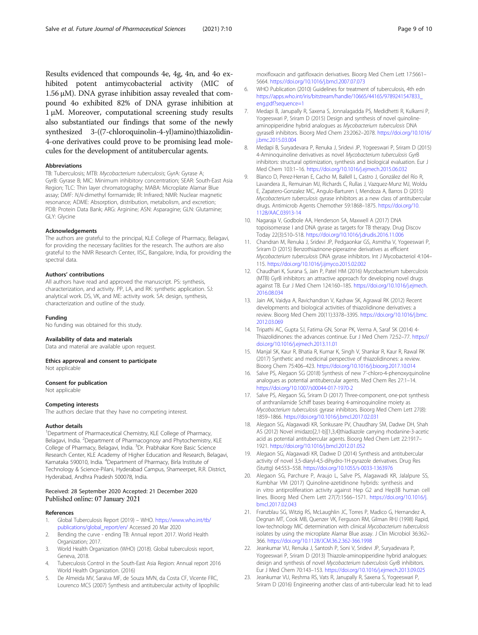<span id="page-8-0"></span>Results evidenced that compounds 4e, 4g, 4n, and 4o exhibited potent antimycobacterial activity (MIC of 1.56 μM). DNA gyrase inhibition assay revealed that compound 4o exhibited 82% of DNA gyrase inhibition at 1 μM. Moreover, computational screening study results also substantiated our findings that some of the newly synthesized 3-((7-chloroquinolin-4-yl)amino)thiazolidin-4-one derivatives could prove to be promising lead molecules for the development of antitubercular agents.

#### Abbreviations

TB: Tuberculosis; MTB: Mycobacterium tuberculosis; GyrA: Gyrase A; GyrB: Gyrase B; MIC: Minimum inhibitory concentration; SEAR: South-East Asia Region; TLC: Thin layer chromatography; MABA: Microplate Alamar Blue assay; DMF: N,N-dimethyl formamide; IR: Infrared; NMR: Nuclear magnetic resonance; ADME: Absorption, distribution, metabolism, and excretion; PDB: Protein Data Bank; ARG: Arginine; ASN: Asparagine; GLN: Glutamine; GLY: Glycine

#### Acknowledgements

The authors are grateful to the principal, KLE College of Pharmacy, Belagavi, for providing the necessary facilities for the research. The authors are also grateful to the NMR Research Center, IISC, Bangalore, India, for providing the spectral data.

#### Authors' contributions

All authors have read and approved the manuscript. PS: synthesis, characterization, and activity. PP, LA, and RK: synthetic application. SJ: analytical work. DS, VK, and ME: activity work. SA: design, synthesis, characterization and outline of the study.

#### Funding

No funding was obtained for this study.

#### Availability of data and materials

Data and material are available upon request.

#### Ethics approval and consent to participate Not applicable

#### Consent for publication

Not applicable

#### Competing interests

The authors declare that they have no competing interest.

#### Author details

<sup>1</sup>Department of Pharmaceutical Chemistry, KLE College of Pharmacy, Belagavi, India. <sup>2</sup>Department of Pharmacognosy and Phytochemistry, KLE College of Pharmacy, Belagavi, India. <sup>3</sup>Dr. Prabhakar Kore Basic Science Research Center, KLE Academy of Higher Education and Research, Belagavi, Karnataka 590010, India. <sup>4</sup>Department of Pharmacy, Birla Institute of Technology & Science-Pilani, Hyderabad Campus, Shameerpet, R.R. District, Hyderabad, Andhra Pradesh 500078, India.

#### Received: 28 September 2020 Accepted: 21 December 2020 Published online: 07 January 2021

#### References

- 1. Global Tuberculosis Report (2019) WHO. [https://www.who.int/tb/](https://www.who.int/tb/publications/global_report/en/) [publications/global\\_report/en/](https://www.who.int/tb/publications/global_report/en/) Accessed 20 Mar 2020
- 2. Bending the curve ending TB: Annual report 2017. World Health Organization; 2017.
- 3. World Health Organization (WHO) (2018). Global tuberculosis report, Geneva, 2018.
- 4. Tuberculosis Control in the South-East Asia Region: Annual report 2016 World Health Organization. (2016)
- 5. De Almeida MV, Saraiva MF, de Souza MVN, da Costa CF, Vicente FRC, Lourenco MCS (2007) Synthesis and antitubercular activity of lipophilic

moxifloxacin and gatifloxacin derivatives. Bioorg Med Chem Lett 17:5661– 5664. <https://doi.org/10.1016/j.bmcl.2007.07.073>

- 6. WHO Publication (2010) Guidelines for treatment of tuberculosis, 4th edn [https://apps.who.int/iris/bitstream/handle/10665/44165/9789241547833\\_](https://apps.who.int/iris/bitstream/handle/10665/44165/9789241547833_eng.pdf?sequence=1) [eng.pdf?sequence=1](https://apps.who.int/iris/bitstream/handle/10665/44165/9789241547833_eng.pdf?sequence=1)
- 7. Medapi B, Janupally R, Saxena S, Jonnalagadda PS, Medidhetti R, Kulkarni P, Yogeeswari P, Sriram D (2015) Design and synthesis of novel quinolineaminopiperidine hybrid analogues as Mycobacterium tuberculosis DNA gyraseB inhibitors. Bioorg Med Chem 23:2062–2078. [https://doi.org/10.1016/](https://doi.org/10.1016/j.bmc.2015.03.004) [j.bmc.2015.03.004](https://doi.org/10.1016/j.bmc.2015.03.004)
- 8. Medapi B, Suryadevara P, Renuka J, Sridevi JP, Yogeeswari P, Sriram D (2015) 4-Aminoquinoline derivatives as novel Mycobacterium tuberculosis GyrB inhibitors: structural optimization, synthesis and biological evaluation. Eur J Med Chem 103:1–16. <https://doi.org/10.1016/j.ejmech.2015.06.032>
- 9. Blanco D, Perez-Herran E, Cacho M, Ballell L, Castro J, González del Río R, Lavandera JL, Remuinan MJ, Richards C, Rullas J, Vazquez-Munz MJ, Woldu E, Zapatero-Gonzalez MC, Angulo-Barturen I, Mendoza A, Barros D (2015) Mycobacterium tuberculosis gyrase inhibitors as a new class of antitubercular drugs. Antimicrob Agents Chemother 59:1868–1875. [https://doi.org/10.](https://doi.org/10.1128/AAC.03913-14) [1128/AAC.03913-14](https://doi.org/10.1128/AAC.03913-14)
- 10. Nagaraja V, Godbole AA, Henderson SA, Maxwell A (2017) DNA topoisomerase I and DNA gyrase as targets for TB therapy. Drug Discov Today 22(3):510–518. <https://doi.org/10.1016/j.drudis.2016.11.006>
- 11. Chandran M, Renuka J, Sridevi JP, Pedgaonkar GS, Asmitha V, Yogeeswari P, Sriram D (2015) Benzothiazinone-piperazine derivatives as efficient Mycobacterium tuberculosis DNA gyrase inhibitors. Int J Mycobacteriol 4:104– 115. <https://doi.org/10.1016/j.ijmyco.2015.02.002>
- 12. Chaudhari K, Surana S, Jain P, Patel HM (2016) Mycobacterium tuberculosis (MTB) GyrB inhibitors: an attractive approach for developing novel drugs against TB. Eur J Med Chem 124:160–185. [https://doi.org/10.1016/j.ejmech.](https://doi.org/10.1016/j.ejmech.2016.08.034) [2016.08.034](https://doi.org/10.1016/j.ejmech.2016.08.034)
- 13. Jain AK, Vaidya A, Ravichandran V, Kashaw SK, Agrawal RK (2012) Recent developments and biological activities of thiazolidinone derivatives: a review. Bioorg Med Chem 20(11):3378–3395. [https://doi.org/10.1016/j.bmc.](https://doi.org/10.1016/j.bmc.2012.03.069) [2012.03.069](https://doi.org/10.1016/j.bmc.2012.03.069)
- 14. Tripathi AC, Gupta SJ, Fatima GN, Sonar PK, Verma A, Saraf SK (2014) 4- Thiazolidinones: the advances continue. Eur J Med Chem 72:52–77. [https://](https://doi.org/10.1016/j.ejmech.2013.11.01) [doi.org/10.1016/j.ejmech.2013.11.01](https://doi.org/10.1016/j.ejmech.2013.11.01)
- 15. Manjal SK, Kaur R, Bhatia R, Kumar K, Singh V, Shankar R, Kaur R, Rawal RK (2017) Synthetic and medicinal perspective of thiazolidinones: a review. Bioorg Chem 75:406–423. <https://doi.org/10.1016/j.bioorg.2017.10.014>
- 16. Salve PS, Alegaon SG (2018) Synthesis of new 7'-chloro-4-phenoxyquinoline analogues as potential antitubercular agents. Med Chem Res 27:1–14. <https://doi.org/10.1007/s00044-017-1970-2>
- 17. Salve PS, Alegaon SG, Sriram D (2017) Three-component, one-pot synthesis of anthranilamide Schiff bases bearing 4-aminoquinoline moiety as Mycobacterium tuberculosis gyrase inhibitors. Bioorg Med Chem Lett 27(8): 1859–1866. <https://doi.org/10.1016/j.bmcl.2017.02.031>
- 18. Alegaon SG, Alagawadi KR, Sonkusare PV, Chaudhary SM, Dadwe DH, Shah AS (2012) Novel imidazo[2,1-b][1,3,4]thiadiazole carrying rhodanine-3-acetic acid as potential antitubercular agents. Bioorg Med Chem Lett 22:1917– 1921. <https://doi.org/10.1016/j.bmcl.2012.01.052>
- 19. Alegaon SG, Alagawadi KR, Dadwe D (2014) Synthesis and antitubercular activity of novel 3,5-diaryl-4,5-dihydro-1H-pyrazole derivatives. Drug Res (Stuttg) 64:553–558. <https://doi.org/10.1055/s-0033-1363976>
- 20. Alegaon SG, Parchure P, Araujo L, Salve PS, Alagawadi KR, Jalalpure SS, Kumbhar VM (2017) Quinoline-azetidinone hybrids: synthesis and in vitro antiproliferation activity against Hep G2 and Hep3B human cell lines. Bioorg Med Chem Lett 27(7):1566–1571. [https://doi.org/10.1016/j.](https://doi.org/10.1016/j.bmcl.2017.02.043) [bmcl.2017.02.043](https://doi.org/10.1016/j.bmcl.2017.02.043)
- 21. Franzblau SG, Witzig RS, McLaughlin JC, Torres P, Madico G, Hernandez A, Degnan MT, Cook MB, Quenzer VK, Ferguson RM, Gilman RHJ (1998) Rapid, low-technology MIC determination with clinical Mycobacterium tuberculosis isolates by using the microplate Alamar Blue assay. J Clin Microbiol 36:362– 366. <https://doi.org/10.1128/JCM.36.2.362-366.1998>
- 22. Jeankumar VU, Renuka J, Santosh P, Soni V, Sridevi JP, Suryadevara P, Yogeeswari P, Sriram D (2013) Thiazole-aminopiperidine hybrid analogues: design and synthesis of novel Mycobacterium tuberculosis GyrB inhibitors. Eur J Med Chem 70:143–153. <https://doi.org/10.1016/j.ejmech.2013.09.025>
- 23. Jeankumar VU, Reshma RS, Vats R, Janupally R, Saxena S, Yogeeswari P, Sriram D (2016) Engineering another class of anti-tubercular lead: hit to lead